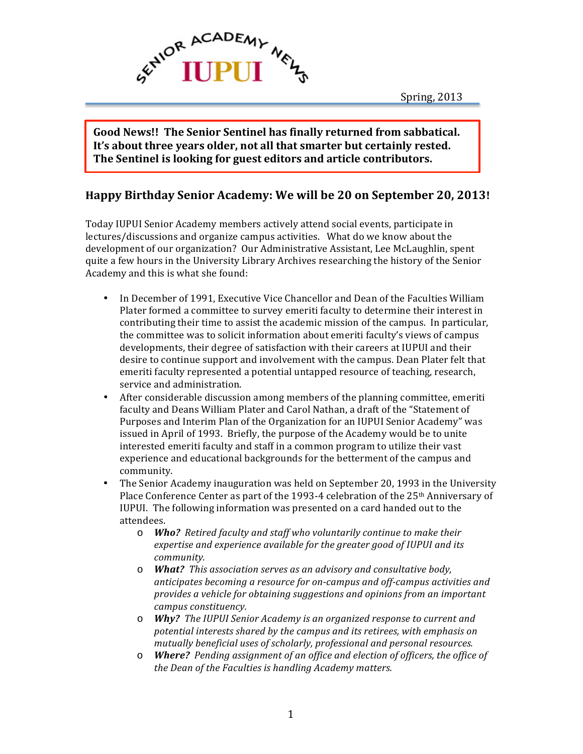

Spring, 2013

Good News!! The Senior Sentinel has finally returned from sabbatical. It's about three years older, not all that smarter but certainly rested. The Sentinel is looking for guest editors and article contributors.

### **Happy Birthday Senior Academy: We will be 20 on September 20, 2013!**

Today IUPUI Senior Academy members actively attend social events, participate in lectures/discussions and organize campus activities. What do we know about the development of our organization? Our Administrative Assistant, Lee McLaughlin, spent quite a few hours in the University Library Archives researching the history of the Senior Academy and this is what she found:

- In December of 1991, Executive Vice Chancellor and Dean of the Faculties William Plater formed a committee to survey emeriti faculty to determine their interest in contributing their time to assist the academic mission of the campus. In particular, the committee was to solicit information about emeriti faculty's views of campus developments, their degree of satisfaction with their careers at IUPUI and their desire to continue support and involvement with the campus. Dean Plater felt that emeriti faculty represented a potential untapped resource of teaching, research, service and administration.
- After considerable discussion among members of the planning committee, emeriti faculty and Deans William Plater and Carol Nathan, a draft of the "Statement of Purposes and Interim Plan of the Organization for an IUPUI Senior Academy" was issued in April of 1993. Briefly, the purpose of the Academy would be to unite interested emeriti faculty and staff in a common program to utilize their vast experience and educational backgrounds for the betterment of the campus and community.
- The Senior Academy inauguration was held on September 20, 1993 in the University Place Conference Center as part of the 1993-4 celebration of the  $25<sup>th</sup>$  Anniversary of IUPUI. The following information was presented on a card handed out to the attendees.
	- o *Who? Retired faculty and staff who voluntarily continue to make their*  expertise and experience available for the greater good of IUPUI and its *community.*
	- o *What? This association serves as an advisory and consultative body,*  anticipates becoming a resource for on-campus and off-campus activities and provides a vehicle for obtaining suggestions and opinions from an important *campus constituency.*
	- $\circ$  *Why?* The IUPUI Senior Academy is an organized response to current and potential interests shared by the campus and its retirees, with emphasis on mutually beneficial uses of scholarly, professional and personal resources.
	- o *Where? Pending assignment of an office and election of officers, the office of the Dean of the Faculties is handling Academy matters.*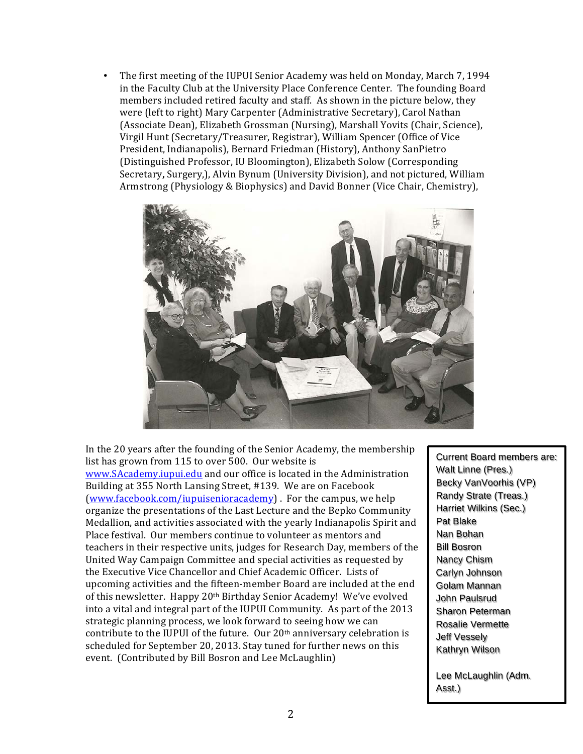• The first meeting of the IUPUI Senior Academy was held on Monday, March 7, 1994 in the Faculty Club at the University Place Conference Center. The founding Board members included retired faculty and staff. As shown in the picture below, they were (left to right) Mary Carpenter (Administrative Secretary), Carol Nathan (Associate Dean), Elizabeth Grossman (Nursing), Marshall Yovits (Chair, Science), Virgil Hunt (Secretary/Treasurer, Registrar), William Spencer (Office of Vice President, Indianapolis), Bernard Friedman (History), Anthony SanPietro (Distinguished Professor, IU Bloomington), Elizabeth Solow (Corresponding Secretary, Surgery,), Alvin Bynum (University Division), and not pictured, William Armstrong (Physiology & Biophysics) and David Bonner (Vice Chair, Chemistry),



In the 20 years after the founding of the Senior Academy, the membership list has grown from 115 to over 500. Our website is www.SAcademy.iupui.edu and our office is located in the Administration Building at 355 North Lansing Street, #139. We are on Facebook (www.facebook.com/iupuisenioracademy). For the campus, we help organize the presentations of the Last Lecture and the Bepko Community Medallion, and activities associated with the yearly Indianapolis Spirit and Place festival. Our members continue to volunteer as mentors and teachers in their respective units, judges for Research Day, members of the United Way Campaign Committee and special activities as requested by the Executive Vice Chancellor and Chief Academic Officer. Lists of upcoming activities and the fifteen-member Board are included at the end of this newsletter. Happy 20<sup>th</sup> Birthday Senior Academy! We've evolved into a vital and integral part of the IUPUI Community. As part of the 2013 strategic planning process, we look forward to seeing how we can contribute to the IUPUI of the future. Our  $20<sup>th</sup>$  anniversary celebration is scheduled for September 20, 2013. Stay tuned for further news on this event. (Contributed by Bill Bosron and Lee McLaughlin)

Current Board members are: Walt Linne (Pres.) Becky VanVoorhis (VP) Randy Strate (Treas.) Harriet Wilkins (Sec.) Pat Blake Nan Bohan Bill Bosron Nancy Chism Carlyn Johnson Golam Mannan John Paulsrud Sharon Peterman Rosalie Vermette Jeff Vessely Kathryn Wilson

Lee McLaughlin (Adm. Asst.)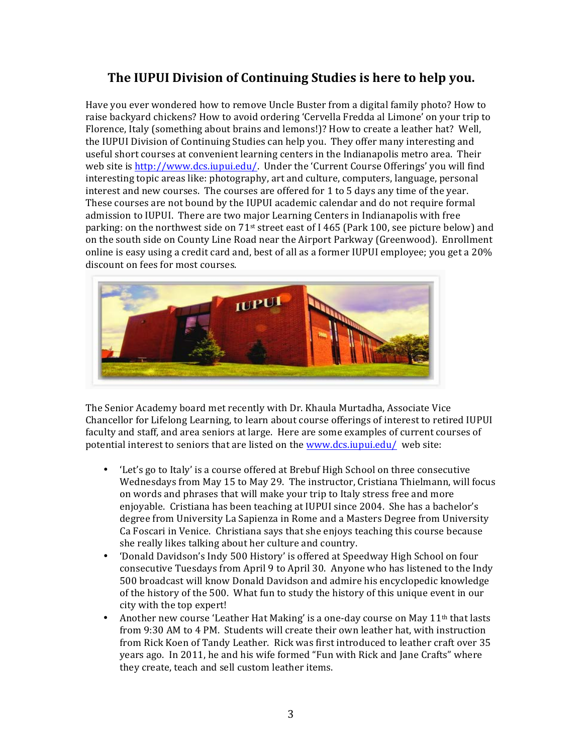# **The IUPUI Division of Continuing Studies is here to help you.**

Have you ever wondered how to remove Uncle Buster from a digital family photo? How to raise backyard chickens? How to avoid ordering 'Cervella Fredda al Limone' on your trip to Florence, Italy (something about brains and lemons!)? How to create a leather hat? Well, the IUPUI Division of Continuing Studies can help you. They offer many interesting and useful short courses at convenient learning centers in the Indianapolis metro area. Their web site is http://www.dcs.iupui.edu/. Under the 'Current Course Offerings' you will find interesting topic areas like: photography, art and culture, computers, language, personal interest and new courses. The courses are offered for  $1$  to  $5$  days any time of the year. These courses are not bound by the IUPUI academic calendar and do not require formal admission to IUPUI. There are two major Learning Centers in Indianapolis with free parking: on the northwest side on  $71^{st}$  street east of I 465 (Park 100, see picture below) and on the south side on County Line Road near the Airport Parkway (Greenwood). Enrollment online is easy using a credit card and, best of all as a former IUPUI employee; you get a 20% discount on fees for most courses.



The Senior Academy board met recently with Dr. Khaula Murtadha, Associate Vice Chancellor for Lifelong Learning, to learn about course offerings of interest to retired IUPUI faculty and staff, and area seniors at large. Here are some examples of current courses of potential interest to seniors that are listed on the www.dcs.iupui.edu/ web site:

- 'Let's go to Italy' is a course offered at Brebuf High School on three consecutive Wednesdays from May 15 to May 29. The instructor, Cristiana Thielmann, will focus on words and phrases that will make your trip to Italy stress free and more enjoyable. Cristiana has been teaching at IUPUI since 2004. She has a bachelor's degree from University La Sapienza in Rome and a Masters Degree from University Ca Foscari in Venice. Christiana says that she enjoys teaching this course because she really likes talking about her culture and country.
- 'Donald Davidson's Indy 500 History' is offered at Speedway High School on four consecutive Tuesdays from April 9 to April 30. Anyone who has listened to the Indy 500 broadcast will know Donald Davidson and admire his encyclopedic knowledge of the history of the 500. What fun to study the history of this unique event in our city with the top expert!
- Another new course 'Leather Hat Making' is a one-day course on May  $11<sup>th</sup>$  that lasts from 9:30 AM to 4 PM. Students will create their own leather hat, with instruction from Rick Koen of Tandy Leather. Rick was first introduced to leather craft over 35 years ago. In 2011, he and his wife formed "Fun with Rick and Jane Crafts" where they create, teach and sell custom leather items.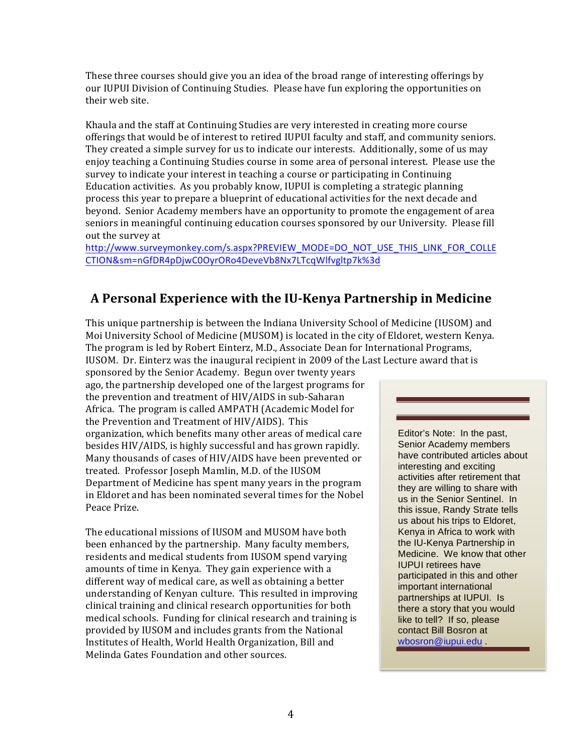These three courses should give you an idea of the broad range of interesting offerings by our IUPUI Division of Continuing Studies. Please have fun exploring the opportunities on their web site.

Khaula and the staff at Continuing Studies are very interested in creating more course offerings that would be of interest to retired IUPUI faculty and staff, and community seniors. They created a simple survey for us to indicate our interests. Additionally, some of us may enjoy teaching a Continuing Studies course in some area of personal interest. Please use the survey to indicate your interest in teaching a course or participating in Continuing Education activities. As you probably know, IUPUI is completing a strategic planning process this year to prepare a blueprint of educational activities for the next decade and beyond. Senior Academy members have an opportunity to promote the engagement of area seniors in meaningful continuing education courses sponsored by our University. Please fill out the survey at

http://www.surveymonkey.com/s.aspx?PREVIEW\_MODE=DO\_NOT\_USE\_THIS\_LINK\_FOR\_COLLE CTION&sm=nGfDR4pDjwC0OyrORo4DeveVb8Nx7LTcqWlfvgltp7k%3d

### **A Personal Experience with the IU-Kenya Partnership in Medicine**

This unique partnership is between the Indiana University School of Medicine (IUSOM) and Moi University School of Medicine (MUSOM) is located in the city of Eldoret, western Kenya. The program is led by Robert Einterz, M.D., Associate Dean for International Programs,

IUSOM. Dr. Einterz was the inaugural recipient in 2009 of the Last Lecture award that is sponsored by the Senior Academy. Begun over twenty years ago, the partnership developed one of the largest programs for the prevention and treatment of HIV/AIDS in sub-Saharan Africa. The program is called AMPATH (Academic Model for the Prevention and Treatment of HIV/AIDS). This organization, which benefits many other areas of medical care besides HIV/AIDS, is highly successful and has grown rapidly. Many thousands of cases of HIV/AIDS have been prevented or treated. Professor Joseph Mamlin, M.D. of the IUSOM Department of Medicine has spent many years in the program in Eldoret and has been nominated several times for the Nobel Peace Prize.

The educational missions of IUSOM and MUSOM have both been enhanced by the partnership. Many faculty members, residents and medical students from IUSOM spend varying amounts of time in Kenya. They gain experience with a different way of medical care, as well as obtaining a better understanding of Kenyan culture. This resulted in improving clinical training and clinical research opportunities for both medical schools. Funding for clinical research and training is provided by IUSOM and includes grants from the National Institutes of Health, World Health Organization, Bill and Melinda Gates Foundation and other sources.

Editor's Note: In the past, Senior Academy members have contributed articles about interesting and exciting activities after retirement that they are willing to share with us in the Senior Sentinel. In this issue, Randy Strate tells us about his trips to Eldoret, Kenya in Africa to work with the IU-Kenya Partnership in Medicine. We know that other IUPUI retirees have participated in this and other important international partnerships at IUPUI. Is there a story that you would like to tell? If so, please contact Bill Bosron at wbosron@iupui.edu .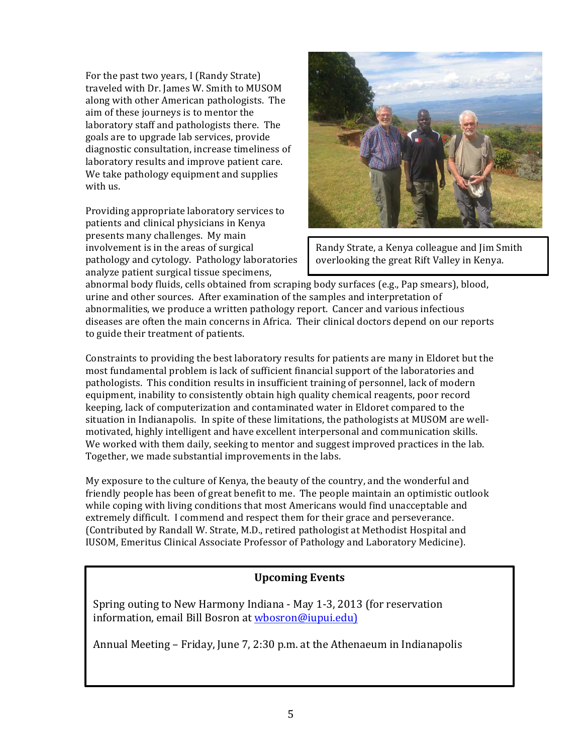For the past two years, I (Randy Strate) traveled with Dr. James W. Smith to MUSOM along with other American pathologists. The aim of these journeys is to mentor the laboratory staff and pathologists there. The goals are to upgrade lab services, provide diagnostic consultation, increase timeliness of laboratory results and improve patient care. We take pathology equipment and supplies with us.

Providing appropriate laboratory services to patients and clinical physicians in Kenya presents many challenges. My main involvement is in the areas of surgical pathology and cytology. Pathology laboratories analyze patient surgical tissue specimens,



Randy Strate, a Kenya colleague and Jim Smith overlooking the great Rift Valley in Kenya.

abnormal body fluids, cells obtained from scraping body surfaces (e.g., Pap smears), blood, urine and other sources. After examination of the samples and interpretation of abnormalities, we produce a written pathology report. Cancer and various infectious diseases are often the main concerns in Africa. Their clinical doctors depend on our reports to guide their treatment of patients.

Constraints to providing the best laboratory results for patients are many in Eldoret but the most fundamental problem is lack of sufficient financial support of the laboratories and pathologists. This condition results in insufficient training of personnel, lack of modern equipment, inability to consistently obtain high quality chemical reagents, poor record keeping, lack of computerization and contaminated water in Eldoret compared to the situation in Indianapolis. In spite of these limitations, the pathologists at MUSOM are wellmotivated, highly intelligent and have excellent interpersonal and communication skills. We worked with them daily, seeking to mentor and suggest improved practices in the lab. Together, we made substantial improvements in the labs.

My exposure to the culture of Kenya, the beauty of the country, and the wonderful and friendly people has been of great benefit to me. The people maintain an optimistic outlook while coping with living conditions that most Americans would find unacceptable and extremely difficult. I commend and respect them for their grace and perseverance. (Contributed by Randall W. Strate, M.D., retired pathologist at Methodist Hospital and IUSOM, Emeritus Clinical Associate Professor of Pathology and Laboratory Medicine).

#### **Upcoming Events**

Spring outing to New Harmony Indiana - May 1-3, 2013 (for reservation information, email Bill Bosron at wbosron@iupui.edu)

Annual Meeting – Friday, June 7, 2:30 p.m. at the Athenaeum in Indianapolis